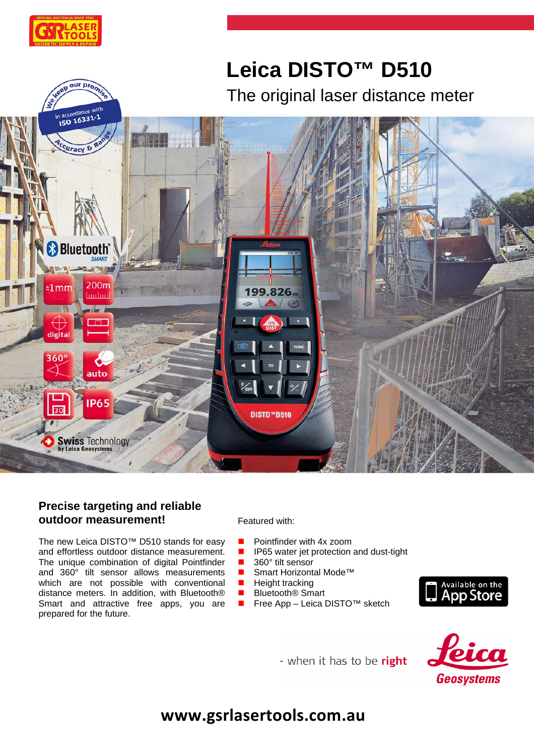

our pro

# **Leica DISTO™ D510** The original laser distance meter



# **Precise targeting and reliable outdoor measurement!**

The new Leica DISTO™ D510 stands for easy and effortless outdoor distance measurement. The unique combination of digital Pointfinder and 360° tilt sensor allows measurements which are not possible with conventional distance meters. In addition, with Bluetooth® Smart and attractive free apps, you are prepared for the future.

Featured with:

- **Pointfinder with 4x zoom**
- **IFFER** IP65 water jet protection and dust-tight
- 360° tilt sensor
- Smart Horizontal Mode<sup>™</sup>
- **Height tracking**
- Bluetooth<sup>®</sup> Smart
- Free App Leica DISTO<sup>™</sup> sketch



- when it has to be right



**www.gsrlasertools.com.au**